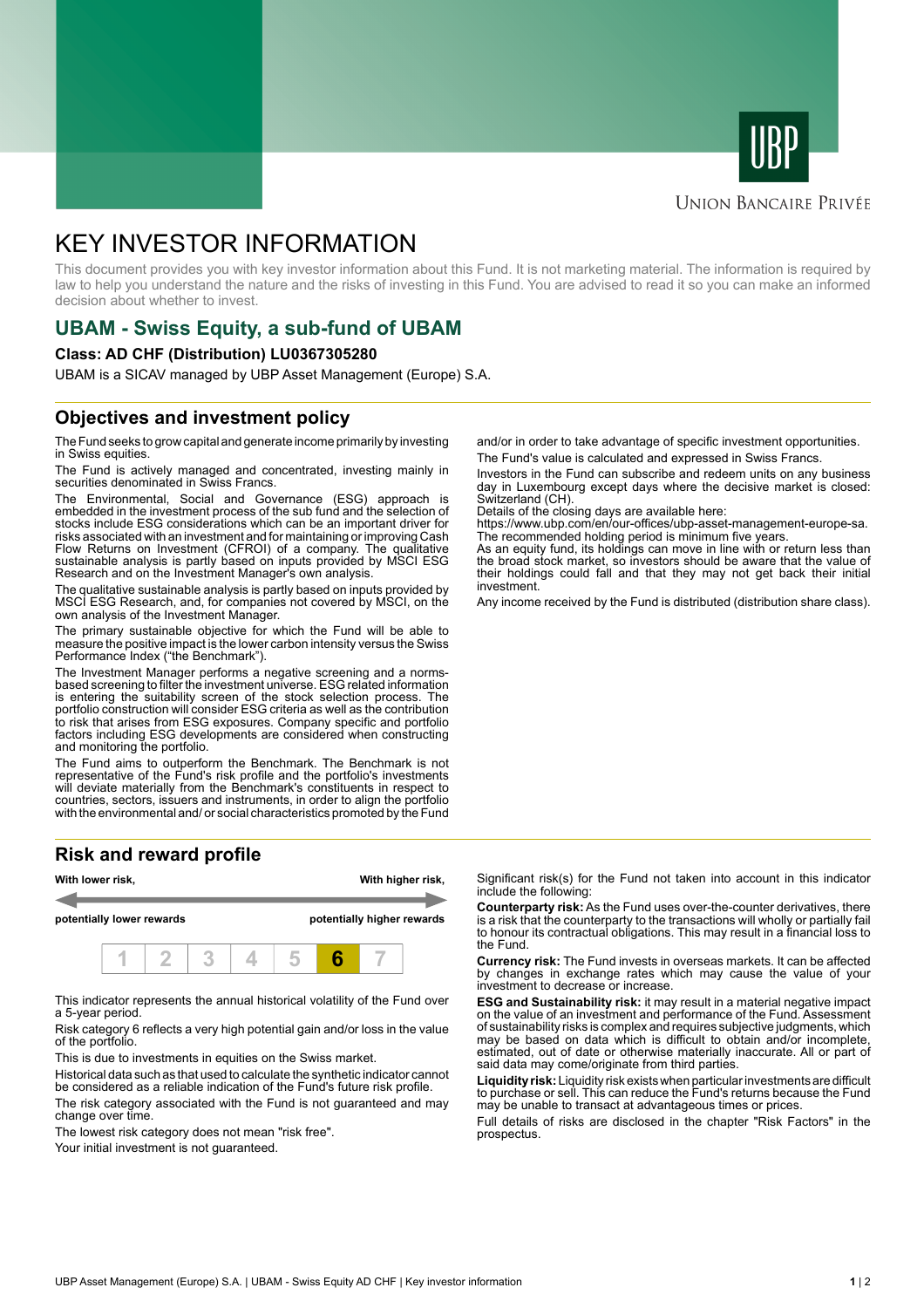



#### **UNION BANCAIRE PRIVÉE**

# KEY INVESTOR INFORMATION

This document provides you with key investor information about this Fund. It is not marketing material. The information is required by law to help you understand the nature and the risks of investing in this Fund. You are advised to read it so you can make an informed decision about whether to invest.

# **UBAM - Swiss Equity, a sub-fund of UBAM**

#### **Class: AD CHF (Distribution) LU0367305280**

UBAM is a SICAV managed by UBP Asset Management (Europe) S.A.

### **Objectives and investment policy**

The Fund seeks to grow capital and generate income primarily by investing in Swiss equities.

The Fund is actively managed and concentrated, investing mainly in securities denominated in Swiss Francs.

The Environmental, Social and Governance (ESG) approach is embedded in the investment process of the sub fund and the selection of stocks include ESG considerations which can be an important driver for risks associated with an investment and for maintaining or improving Cash Flow Returns on Investment (CFROI) of a company. The qualitative sustainable analysis is partly based on inputs provided by MSCI ESG Research and on the Investment Manager's own analysis.

The qualitative sustainable analysis is partly based on inputs provided by MSCI ESG Research, and, for companies not covered by MSCI, on the own analysis of the Investment Manager.

The primary sustainable objective for which the Fund will be able to measure the positive impact is the lower carbon intensity versus the Swiss Performance Index ("the Benchmark").

The Investment Manager performs a negative screening and a normsbased screening to filter the investment universe. ESG related information is entering the suitability screen of the stock selection process. The portfolio construction will consider ESG criteria as well as the contribution to risk that arises from ESG exposures. Company specific and portfolio factors including ESG developments are considered when constructing and monitoring the portfolio.

The Fund aims to outperform the Benchmark. The Benchmark is not representative of the Fund's risk profile and the portfolio's investments will deviate materially from the Benchmark's constituents in respect to countries, sectors, issuers and instruments, in order to align the portfolio with the environmental and/ or social characteristics promoted by the Fund

## **Risk and reward profile**



This indicator represents the annual historical volatility of the Fund over a 5-year period.

Risk category 6 reflects a very high potential gain and/or loss in the value of the portfolio.

This is due to investments in equities on the Swiss market.

Historical data such as that used to calculate the synthetic indicator cannot be considered as a reliable indication of the Fund's future risk profile. The risk category associated with the Fund is not guaranteed and may change over time.

The lowest risk category does not mean "risk free".

Your initial investment is not guaranteed.

and/or in order to take advantage of specific investment opportunities. The Fund's value is calculated and expressed in Swiss Francs.

Investors in the Fund can subscribe and redeem units on any business day in Luxembourg except days where the decisive market is closed: Switzerland (CH).

Details of the closing days are available here:

https://www.ubp.com/en/our-offices/ubp-asset-management-europe-sa. The recommended holding period is minimum five years.

As an equity fund, its holdings can move in line with or return less than the broad stock market, so investors should be aware that the value of their holdings could fall and that they may not get back their initial investment.

Any income received by the Fund is distributed (distribution share class).

Significant risk(s) for the Fund not taken into account in this indicator include the following:

**Counterparty risk:** As the Fund uses over-the-counter derivatives, there is a risk that the counterparty to the transactions will wholly or partially fail to honour its contractual obligations. This may result in a financial loss to the Fund.

**Currency risk:** The Fund invests in overseas markets. It can be affected by changes in exchange rates which may cause the value of your investment to decrease or increase.

**ESG and Sustainability risk:** it may result in a material negative impact on the value of an investment and performance of the Fund. Assessment of sustainability risks is complex and requires subjective judgments, which may be based on data which is difficult to obtain and/or incomplete, estimated, out of date or otherwise materially inaccurate. All or part of said data may come/originate from third parties.

**Liquidity risk:** Liquidity risk exists when particular investments are difficult to purchase or sell. This can reduce the Fund's returns because the Fund may be unable to transact at advantageous times or prices.

Full details of risks are disclosed in the chapter "Risk Factors" in the prospectus.